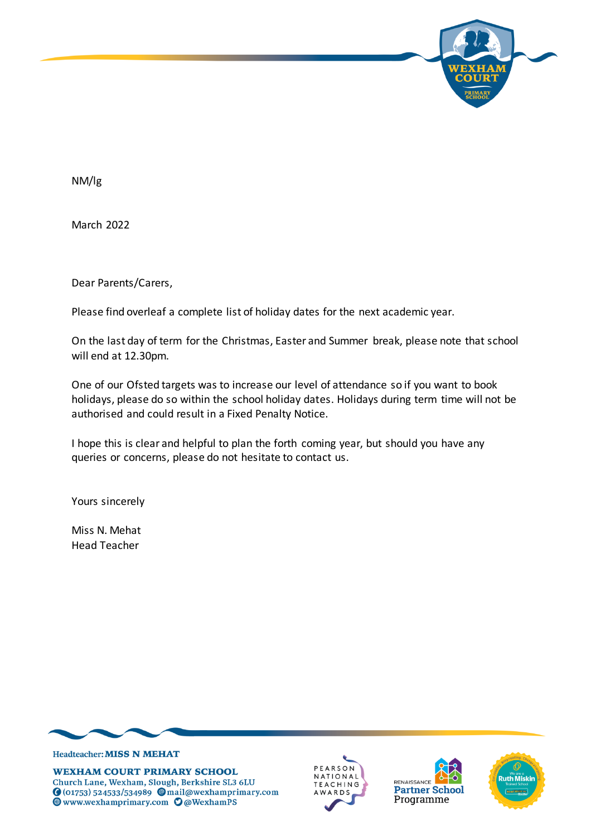

NM/lg

March 2022

Dear Parents/Carers,

Please find overleaf a complete list of holiday dates for the next academic year.

On the last day of term for the Christmas, Easter and Summer break, please note that school will end at 12.30pm.

One of our Ofsted targets was to increase our level of attendance so if you want to book holidays, please do so within the school holiday dates. Holidays during term time will not be authorised and could result in a Fixed Penalty Notice.

I hope this is clear and helpful to plan the forth coming year, but should you have any queries or concerns, please do not hesitate to contact us.

Yours sincerely

Miss N. Mehat Head Teacher



**WEXHAM COURT PRIMARY SCHOOL** Church Lane, Wexham, Slough, Berkshire SL3 6LU O (01753) 524533/534989 @mail@wexhamprimary.com **WWW.wexhamprimary.com O@WexhamPS** 



RENAISSANCE **Partner School** Programme